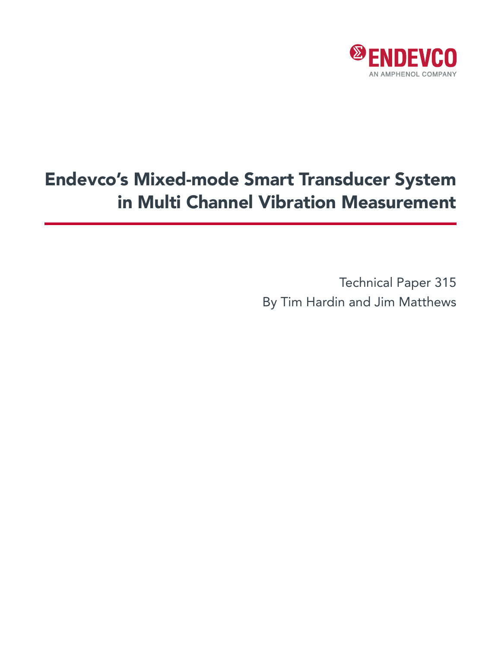

# Endevco's Mixed-mode Smart Transducer System in Multi Channel Vibration Measurement

Technical Paper 315 By Tim Hardin and Jim Matthews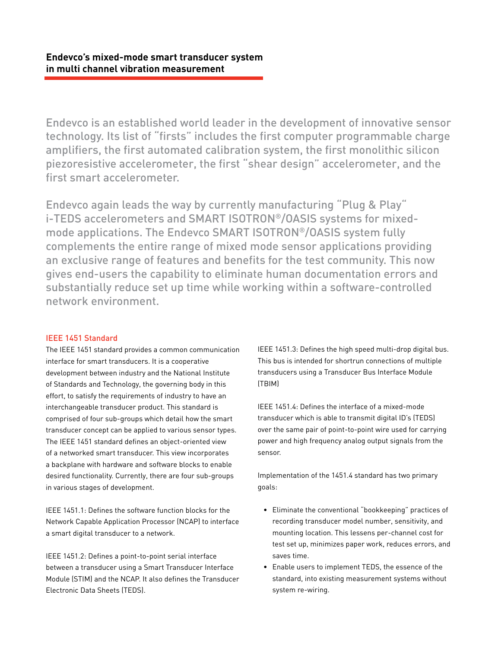Endevco is an established world leader in the development of innovative sensor technology. Its list of "firsts" includes the first computer programmable charge amplifiers, the first automated calibration system, the first monolithic silicon piezoresistive accelerometer, the first "shear design" accelerometer, and the first smart accelerometer.

Endevco again leads the way by currently manufacturing "Plug & Play" i-TEDS accelerometers and SMART ISOTRON®/OASIS systems for mixedmode applications. The Endevco SMART ISOTRON®/OASIS system fully complements the entire range of mixed mode sensor applications providing an exclusive range of features and benefits for the test community. This now gives end-users the capability to eliminate human documentation errors and substantially reduce set up time while working within a software-controlled network environment.

## IEEE 1451 Standard

The IEEE 1451 standard provides a common communication interface for smart transducers. It is a cooperative development between industry and the National Institute of Standards and Technology, the governing body in this effort, to satisfy the requirements of industry to have an interchangeable transducer product. This standard is comprised of four sub-groups which detail how the smart transducer concept can be applied to various sensor types. The IEEE 1451 standard defines an object-oriented view of a networked smart transducer. This view incorporates a backplane with hardware and software blocks to enable desired functionality. Currently, there are four sub-groups in various stages of development.

IEEE 1451.1: Defines the software function blocks for the Network Capable Application Processor (NCAP) to interface a smart digital transducer to a network.

IEEE 1451.2: Defines a point-to-point serial interface between a transducer using a Smart Transducer Interface Module (STIM) and the NCAP. It also defines the Transducer Electronic Data Sheets (TEDS).

IEEE 1451.3: Defines the high speed multi-drop digital bus. This bus is intended for shortrun connections of multiple transducers using a Transducer Bus Interface Module (TBIM)

IEEE 1451.4: Defines the interface of a mixed-mode transducer which is able to transmit digital ID's (TEDS) over the same pair of point-to-point wire used for carrying power and high frequency analog output signals from the sensor.

Implementation of the 1451.4 standard has two primary goals:

- Eliminate the conventional "bookkeeping" practices of recording transducer model number, sensitivity, and mounting location. This lessens per-channel cost for test set up, minimizes paper work, reduces errors, and saves time.
- Enable users to implement TEDS, the essence of the standard, into existing measurement systems without system re-wiring.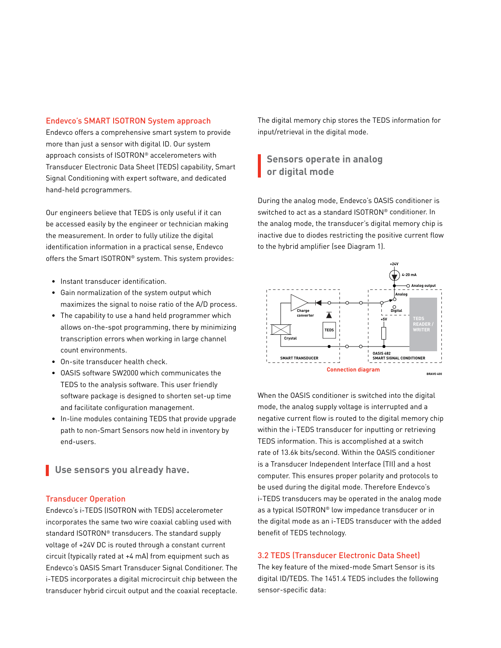#### Endevco's SMART ISOTRON System approach

Endevco offers a comprehensive smart system to provide more than just a sensor with digital ID. Our system approach consists of ISOTRON® accelerometers with Transducer Electronic Data Sheet (TEDS) capability, Smart Signal Conditioning with expert software, and dedicated hand-held pcrogrammers.

Our engineers believe that TEDS is only useful if it can be accessed easily by the engineer or technician making the measurement. In order to fully utilize the digital identification information in a practical sense, Endevco offers the Smart ISOTRON® system. This system provides:

- Instant transducer identification.
- Gain normalization of the system output which maximizes the signal to noise ratio of the A/D process.
- The capability to use a hand held programmer which allows on-the-spot programming, there by minimizing transcription errors when working in large channel count environments.
- On-site transducer health check.
- OASIS software SW2000 which communicates the TEDS to the analysis software. This user friendly software package is designed to shorten set-up time and facilitate configuration management.
- In-line modules containing TEDS that provide upgrade path to non-Smart Sensors now held in inventory by end-users.

**Use sensors you already have.**

## Transducer Operation

Endevco's i-TEDS (ISOTRON with TEDS) accelerometer incorporates the same two wire coaxial cabling used with standard ISOTRON® transducers. The standard supply voltage of +24V DC is routed through a constant current circuit (typically rated at +4 mA) from equipment such as Endevco's OASIS Smart Transducer Signal Conditioner. The i-TEDS incorporates a digital microcircuit chip between the transducer hybrid circuit output and the coaxial receptacle. The digital memory chip stores the TEDS information for input/retrieval in the digital mode.

# **Sensors operate in analog or digital mode**

During the analog mode, Endevco's OASIS conditioner is switched to act as a standard ISOTRON® conditioner. In the analog mode, the transducer's digital memory chip is inactive due to diodes restricting the positive current flow to the hybrid amplifier (see Diagram 1).



When the OASIS conditioner is switched into the digital mode, the analog supply voltage is interrupted and a negative current flow is routed to the digital memory chip within the i-TEDS transducer for inputting or retrieving TEDS information. This is accomplished at a switch rate of 13.6k bits/second. Within the OASIS conditioner is a Transducer Independent Interface (TII) and a host computer. This ensures proper polarity and protocols to be used during the digital mode. Therefore Endevco's i-TEDS transducers may be operated in the analog mode as a typical ISOTRON® low impedance transducer or in the digital mode as an i-TEDS transducer with the added benefit of TEDS technology.

## 3.2 TEDS (Transducer Electronic Data Sheet)

The key feature of the mixed-mode Smart Sensor is its digital ID/TEDS. The 1451.4 TEDS includes the following sensor-specific data: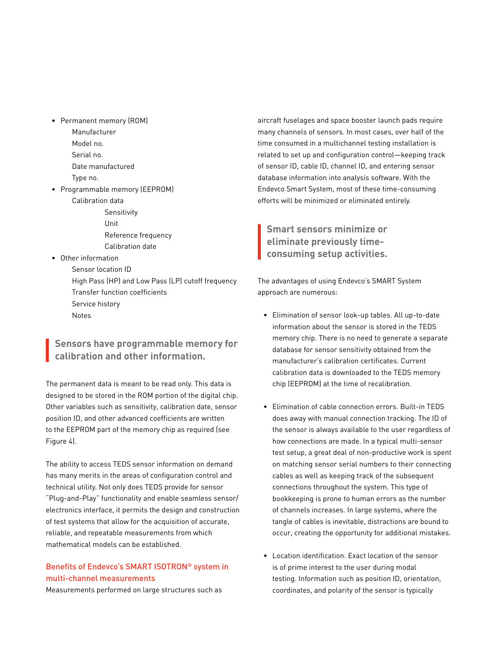- • Permanent memory (ROM) Manufacturer Model no. Serial no. Date manufactured Type no.
- • Programmable memory (EEPROM) Calibration data
	- Sensitivity Unit Reference frequency Calibration date
- • Other information
	- Sensor location ID High Pass (HP) and Low Pass (LP) cutoff frequency Transfer function coefficients Service history Notes

# **Sensors have programmable memory for calibration and other information.**

The permanent data is meant to be read only. This data is designed to be stored in the ROM portion of the digital chip. Other variables such as sensitivity, calibration date, sensor position ID, and other advanced coefficients are written to the EEPROM part of the memory chip as required (see Figure 4).

The ability to access TEDS sensor information on demand has many merits in the areas of configuration control and technical utility. Not only does TEDS provide for sensor "Plug-and-Play" functionality and enable seamless sensor/ electronics interface, it permits the design and construction of test systems that allow for the acquisition of accurate, reliable, and repeatable measurements from which mathematical models can be established.

## Benefits of Endevco's SMART ISOTRON® system in multi-channel measurements

Measurements performed on large structures such as

aircraft fuselages and space booster launch pads require many channels of sensors. In most cases, over half of the time consumed in a multichannel testing installation is related to set up and configuration control—keeping track of sensor ID, cable ID, channel ID, and entering sensor database information into analysis software. With the Endevco Smart System, most of these time-consuming efforts will be minimized or eliminated entirely.

**Smart sensors minimize or eliminate previously timeconsuming setup activities.**

The advantages of using Endevco's SMART System approach are numerous:

- • Elimination of sensor look-up tables. All up-to-date information about the sensor is stored in the TEDS memory chip. There is no need to generate a separate database for sensor sensitivity obtained from the manufacturer's calibration certificates. Current calibration data is downloaded to the TEDS memory chip (EEPROM) at the time of recalibration.
- Elimination of cable connection errors. Built-in TEDS does away with manual connection tracking. The ID of the sensor is always available to the user regardless of how connections are made. In a typical multi-sensor test setup, a great deal of non-productive work is spent on matching sensor serial numbers to their connecting cables as well as keeping track of the subsequent connections throughout the system. This type of bookkeeping is prone to human errors as the number of channels increases. In large systems, where the tangle of cables is inevitable, distractions are bound to occur, creating the opportunity for additional mistakes.
- Location identification. Exact location of the sensor is of prime interest to the user during modal testing. Information such as position ID, orientation, coordinates, and polarity of the sensor is typically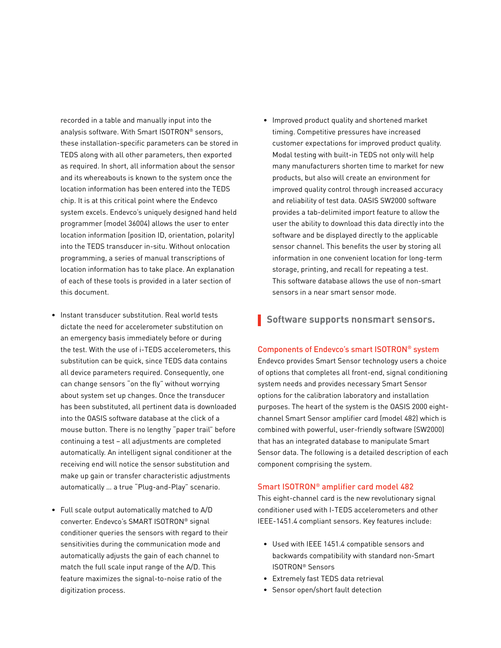recorded in a table and manually input into the analysis software. With Smart ISOTRON® sensors, these installation-specific parameters can be stored in TEDS along with all other parameters, then exported as required. In short, all information about the sensor and its whereabouts is known to the system once the location information has been entered into the TEDS chip. It is at this critical point where the Endevco system excels. Endevco's uniquely designed hand held programmer (model 36004) allows the user to enter location information (position ID, orientation, polarity) into the TEDS transducer in-situ. Without onlocation programming, a series of manual transcriptions of location information has to take place. An explanation of each of these tools is provided in a later section of this document.

- Instant transducer substitution. Real world tests dictate the need for accelerometer substitution on an emergency basis immediately before or during the test. With the use of i-TEDS accelerometers, this substitution can be quick, since TEDS data contains all device parameters required. Consequently, one can change sensors "on the fly" without worrying about system set up changes. Once the transducer has been substituted, all pertinent data is downloaded into the OASIS software database at the click of a mouse button. There is no lengthy "paper trail" before continuing a test – all adjustments are completed automatically. An intelligent signal conditioner at the receiving end will notice the sensor substitution and make up gain or transfer characteristic adjustments automatically … a true "Plug-and-Play" scenario.
- Full scale output automatically matched to A/D converter. Endevco's SMART ISOTRON® signal conditioner queries the sensors with regard to their sensitivities during the communication mode and automatically adjusts the gain of each channel to match the full scale input range of the A/D. This feature maximizes the signal-to-noise ratio of the digitization process.
- Improved product quality and shortened market timing. Competitive pressures have increased customer expectations for improved product quality. Modal testing with built-in TEDS not only will help many manufacturers shorten time to market for new products, but also will create an environment for improved quality control through increased accuracy and reliability of test data. OASIS SW2000 software provides a tab-delimited import feature to allow the user the ability to download this data directly into the software and be displayed directly to the applicable sensor channel. This benefits the user by storing all information in one convenient location for long-term storage, printing, and recall for repeating a test. This software database allows the use of non-smart sensors in a near smart sensor mode.
- **Software supports nonsmart sensors.**

#### Components of Endevco's smart ISOTRON® system

Endevco provides Smart Sensor technology users a choice of options that completes all front-end, signal conditioning system needs and provides necessary Smart Sensor options for the calibration laboratory and installation purposes. The heart of the system is the OASIS 2000 eightchannel Smart Sensor amplifier card (model 482) which is combined with powerful, user-friendly software (SW2000) that has an integrated database to manipulate Smart Sensor data. The following is a detailed description of each component comprising the system.

## Smart ISOTRON® amplifier card model 482

This eight-channel card is the new revolutionary signal conditioner used with I-TEDS accelerometers and other IEEE-1451.4 compliant sensors. Key features include:

- Used with IEEE 1451.4 compatible sensors and backwards compatibility with standard non-Smart ISOTRON® Sensors
- Extremely fast TEDS data retrieval
- Sensor open/short fault detection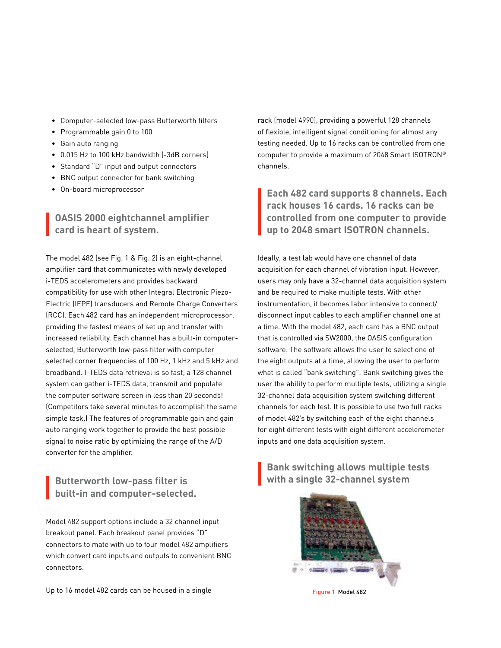- • Computer-selected low-pass Butterworth filters
- • Programmable gain 0 to 100
- • Gain auto ranging
- • 0.015 Hz to 100 kHz bandwidth (-3dB corners)
- • Standard "D" input and output connectors
- BNC output connector for bank switching
- • On-board microprocessor

# **OASIS 2000 eightchannel amplifier card is heart of system.**

The model 482 (see Fig. 1 & Fig. 2) is an eight-channel amplifier card that communicates with newly developed i-TEDS accelerometers and provides backward compatibility for use with other Integral Electronic Piezo-Electric (IEPE) transducers and Remote Charge Converters (RCC). Each 482 card has an independent microprocessor, providing the fastest means of set up and transfer with increased reliability. Each channel has a built-in computerselected, Butterworth low-pass filter with computer selected corner frequencies of 100 Hz, 1 kHz and 5 kHz and broadband. I-TEDS data retrieval is so fast, a 128 channel system can gather i-TEDS data, transmit and populate the computer software screen in less than 20 seconds! (Competitors take several minutes to accomplish the same simple task.) The features of programmable gain and gain auto ranging work together to provide the best possible signal to noise ratio by optimizing the range of the A/D converter for the amplifier.

# **built-in and computer-selected.**

Model 482 support options include a 32 channel input breakout panel. Each breakout panel provides "D" connectors to mate with up to four model 482 amplifiers which convert card inputs and outputs to convenient BNC connectors.

Up to 16 model 482 cards can be housed in a single

rack (model 4990), providing a powerful 128 channels of flexible, intelligent signal conditioning for almost any testing needed. Up to 16 racks can be controlled from one computer to provide a maximum of 2048 Smart ISOTRON® channels.

**Each 482 card supports 8 channels. Each rack houses 16 cards. 16 racks can be controlled from one computer to provide up to 2048 smart ISOTRON channels.**

Ideally, a test lab would have one channel of data acquisition for each channel of vibration input. However, users may only have a 32-channel data acquisition system and be required to make multiple tests. With other instrumentation, it becomes labor intensive to connect/ disconnect input cables to each amplifier channel one at a time. With the model 482, each card has a BNC output that is controlled via SW2000, the OASIS configuration software. The software allows the user to select one of the eight outputs at a time, allowing the user to perform what is called "bank switching". Bank switching gives the user the ability to perform multiple tests, utilizing a single 32-channel data acquisition system switching different channels for each test. It is possible to use two full racks of model 482's by switching each of the eight channels for eight different tests with eight different accelerometer inputs and one data acquisition system.

**Bank switching allows multiple tests Butterworth low-pass filter is with a single 32-channel system**



Figure 1 Model 482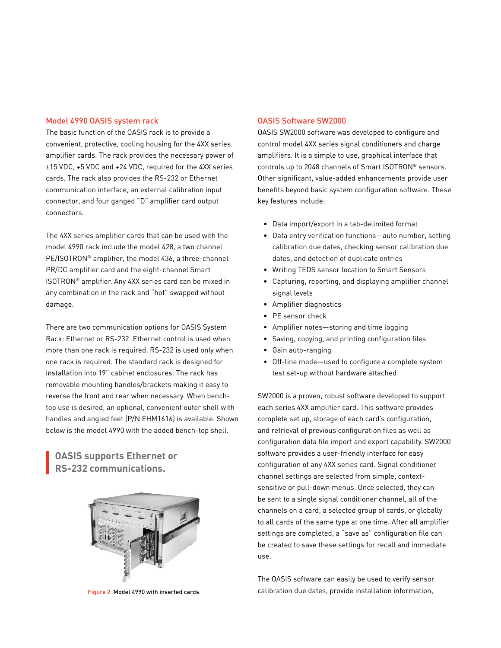#### Model 4990 OASIS system rack

The basic function of the OASIS rack is to provide a convenient, protective, cooling housing for the 4XX series amplifier cards. The rack provides the necessary power of ±15 VDC, +5 VDC and +24 VDC, required for the 4XX series cards. The rack also provides the RS-232 or Ethernet communication interface, an external calibration input connector, and four ganged "D" amplifier card output connectors.

The 4XX series amplifier cards that can be used with the model 4990 rack include the model 428, a two channel PE/ISOTRON® amplifier, the model 436, a three-channel PR/DC amplifier card and the eight-channel Smart ISOTRON® amplifier. Any 4XX series card can be mixed in any combination in the rack and "hot" swapped without damage.

There are two communication options for OASIS System Rack: Ethernet or RS-232. Ethernet control is used when more than one rack is required. RS-232 is used only when one rack is required. The standard rack is designed for installation into 19" cabinet enclosures. The rack has removable mounting handles/brackets making it easy to reverse the front and rear when necessary. When benchtop use is desired, an optional, convenient outer shell with handles and angled feet (P/N EHM1616) is available. Shown below is the model 4990 with the added bench-top shell.

**OASIS supports Ethernet or RS-232 communications.**



Figure 2 Model 4990 with inserted cards

#### OASIS Software SW2000

OASIS SW2000 software was developed to configure and control model 4XX series signal conditioners and charge amplifiers. It is a simple to use, graphical interface that controls up to 2048 channels of Smart ISOTRON® sensors. Other significant, value-added enhancements provide user benefits beyond basic system configuration software. These key features include:

- Data import/export in a tab-delimited format
- Data entry verification functions—auto number, setting calibration due dates, checking sensor calibration due dates, and detection of duplicate entries
- Writing TEDS sensor location to Smart Sensors
- Capturing, reporting, and displaying amplifier channel signal levels
- Amplifier diagnostics
- PE sensor check
- Amplifier notes—storing and time logging
- Saving, copying, and printing configuration files
- Gain auto-ranging
- Off-line mode—used to configure a complete system test set-up without hardware attached

SW2000 is a proven, robust software developed to support each series 4XX amplifier card. This software provides complete set up, storage of each card's configuration, and retrieval of previous configuration files as well as configuration data file import and export capability. SW2000 software provides a user-friendly interface for easy configuration of any 4XX series card. Signal conditioner channel settings are selected from simple, contextsensitive or pull-down menus. Once selected, they can be sent to a single signal conditioner channel, all of the channels on a card, a selected group of cards, or globally to all cards of the same type at one time. After all amplifier settings are completed, a "save as" configuration file can be created to save these settings for recall and immediate use.

The OASIS software can easily be used to verify sensor calibration due dates, provide installation information,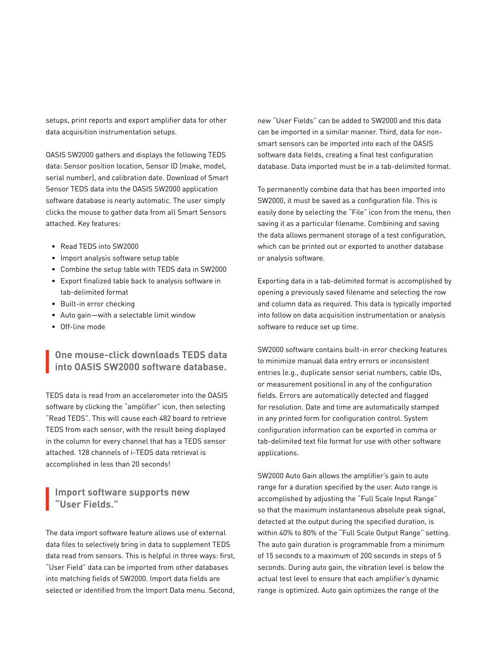setups, print reports and export amplifier data for other data acquisition instrumentation setups.

OASIS SW2000 gathers and displays the following TEDS data: Sensor position location, Sensor ID (make, model, serial number), and calibration date. Download of Smart Sensor TEDS data into the OASIS SW2000 application software database is nearly automatic. The user simply clicks the mouse to gather data from all Smart Sensors attached. Key features:

- Read TEDS into SW2000
- • Import analysis software setup table
- • Combine the setup table with TEDS data in SW2000
- • Export finalized table back to analysis software in tab-delimited format
- • Built-in error checking
- • Auto gain—with a selectable limit window
- • Off-line mode

## **One mouse-click downloads TEDS data into OASIS SW2000 software database.**

TEDS data is read from an accelerometer into the OASIS software by clicking the "amplifier" icon, then selecting "Read TEDS". This will cause each 482 board to retrieve TEDS from each sensor, with the result being displayed in the column for every channel that has a TEDS sensor attached. 128 channels of i-TEDS data retrieval is accomplished in less than 20 seconds!

## **Import software supports new "User Fields."**

The data import software feature allows use of external data files to selectively bring in data to supplement TEDS data read from sensors. This is helpful in three ways: first, "User Field" data can be imported from other databases into matching fields of SW2000. Import data fields are selected or identified from the Import Data menu. Second, new "User Fields" can be added to SW2000 and this data can be imported in a similar manner. Third, data for nonsmart sensors can be imported into each of the OASIS software data fields, creating a final test configuration database. Data imported must be in a tab-delimited format.

To permanently combine data that has been imported into SW2000, it must be saved as a configuration file. This is easily done by selecting the "File" icon from the menu, then saving it as a particular filename. Combining and saving the data allows permanent storage of a test configuration, which can be printed out or exported to another database or analysis software.

Exporting data in a tab-delimited format is accomplished by opening a previously saved filename and selecting the row and column data as required. This data is typically imported into follow on data acquisition instrumentation or analysis software to reduce set up time.

SW2000 software contains built-in error checking features to minimize manual data entry errors or inconsistent entries (e.g., duplicate sensor serial numbers, cable IDs, or measurement positions) in any of the configuration fields. Errors are automatically detected and flagged for resolution. Date and time are automatically stamped in any printed form for configuration control. System configuration information can be exported in comma or tab-delimited text file format for use with other software applications.

SW2000 Auto Gain allows the amplifier's gain to auto range for a duration specified by the user. Auto range is accomplished by adjusting the "Full Scale Input Range" so that the maximum instantaneous absolute peak signal, detected at the output during the specified duration, is within 40% to 80% of the "Full Scale Output Range" setting. The auto gain duration is programmable from a minimum of 15 seconds to a maximum of 200 seconds in steps of 5 seconds. During auto gain, the vibration level is below the actual test level to ensure that each amplifier's dynamic range is optimized. Auto gain optimizes the range of the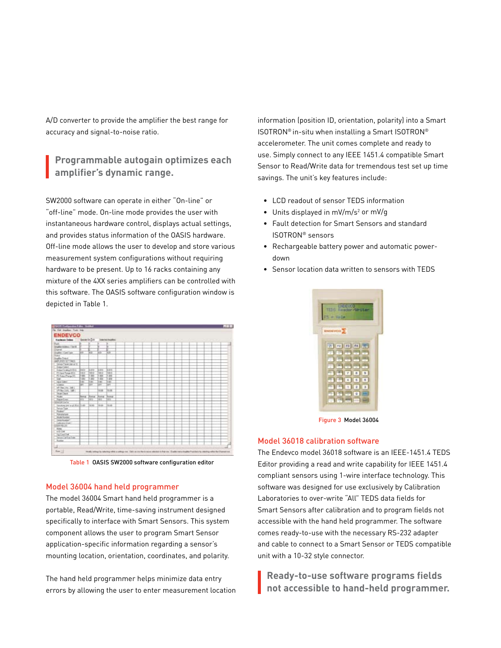A/D converter to provide the amplifier the best range for accuracy and signal-to-noise ratio.

## **Programmable autogain optimizes each amplifier's dynamic range.**

SW2000 software can operate in either "On-line" or "off-line" mode. On-line mode provides the user with instantaneous hardware control, displays actual settings, and provides status information of the OASIS hardware. Off-line mode allows the user to develop and store various measurement system configurations without requiring hardware to be present. Up to 16 racks containing any mixture of the 4XX series amplifiers can be controlled with this software. The OASIS software configuration window is depicted in Table 1.



Table 1 OASIS SW2000 software configuration editor

### Model 36004 hand held programmer

The model 36004 Smart hand held programmer is a portable, Read/Write, time-saving instrument designed specifically to interface with Smart Sensors. This system component allows the user to program Smart Sensor application-specific information regarding a sensor's mounting location, orientation, coordinates, and polarity.

The hand held programmer helps minimize data entry errors by allowing the user to enter measurement location information (position ID, orientation, polarity) into a Smart ISOTRON® in-situ when installing a Smart ISOTRON® accelerometer. The unit comes complete and ready to use. Simply connect to any IEEE 1451.4 compatible Smart Sensor to Read/Write data for tremendous test set up time savings. The unit's key features include:

- • LCD readout of sensor TEDS information
- $\bullet$  Units displayed in mV/m/s<sup>2</sup> or mV/g
- • Fault detection for Smart Sensors and standard ISOTRON® sensors
- • Rechargeable battery power and automatic powerdown
- • Sensor location data written to sensors with TEDS



Figure 3 Model 36004

#### Model 36018 calibration software

The Endevco model 36018 software is an IEEE-1451.4 TEDS Editor providing a read and write capability for IEEE 1451.4 compliant sensors using 1-wire interface technology. This software was designed for use exclusively by Calibration Laboratories to over-write "All" TEDS data fields for Smart Sensors after calibration and to program fields not accessible with the hand held programmer. The software comes ready-to-use with the necessary RS-232 adapter and cable to connect to a Smart Sensor or TEDS compatible unit with a 10-32 style connector.

**Ready-to-use software programs fields not accessible to hand-held programmer.**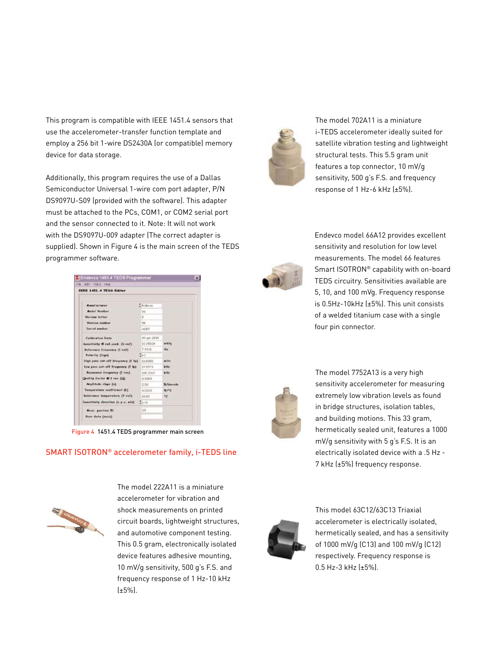This program is compatible with IEEE 1451.4 sensors that use the accelerometer-transfer function template and employ a 256 bit 1-wire DS2430A (or compatible) memory device for data storage.

Additionally, this program requires the use of a Dallas Semiconductor Universal 1-wire com port adapter, P/N DS9097U-S09 (provided with the software). This adapter must be attached to the PCs, COM1, or COM2 serial port and the sensor connected to it. Note: It will not work with the DS9097U-009 adapter (The correct adapter is supplied). Shown in Figure 4 is the main screen of the TEDS programmer software.

| <b>IEEE 1451.4 TEGS Editor</b>       |                                |                 |
|--------------------------------------|--------------------------------|-----------------|
|                                      |                                |                 |
| <b>Assetscharge</b>                  | <b><i><u>Striktion</u></i></b> |                 |
| <b>Madel Nonkar</b>                  | $^{14}$                        |                 |
| <b>Version Intime</b>                | £                              |                 |
| Version number                       | 56                             |                 |
| Served annihur-                      | AOES                           |                 |
| Californities frame                  | 00 lps 1000                    |                 |
| Sonstituity 6 ref.cord. (5 ref)      | 10.35024                       | eV/q            |
| Enforcement frequency (2 sel).       | 7.0910                         | Hu              |
| Fabority (Dige)                      | Se t                           |                 |
| ligh pour sut-off frequency (f hp)   | 10,0000                        | $m$ like        |
| Low pass out-off fragments (f lp)    | 19,9971                        | kits:           |
| Recommen frequency (f rus)           | 100.3362                       | <b>Willia</b>   |
| Quality for far # f res (Ch)         | 0.5003                         |                 |
| Anglitude class (c)                  | 2.60                           | <b>X/decede</b> |
| Tamperature confisions (b)           | 0.0025                         | $x - c$         |
| <b>Buteronin Temperature (T rul)</b> | 19.00                          | *e              |
| Sensitivity direction (x,y,x, a/a)   | San B                          |                 |
| <b>Rear, position ID</b>             | 23                             |                 |
| <b>Bear date (ence)</b>              |                                |                 |

Figure 4 1451.4 TEDS programmer main screen

## SMART ISOTRON® accelerometer family, i-TEDS line



accelerometer for vibration and shock measurements on printed circuit boards, lightweight structures, and automotive component testing. This 0.5 gram, electronically isolated device features adhesive mounting, 10 mV/g sensitivity, 500 g's F.S. and frequency response of 1 Hz-10 kHz (±5%).

The model 222A11 is a miniature



The model 702A11 is a miniature i-TEDS accelerometer ideally suited for satellite vibration testing and lightweight structural tests. This 5.5 gram unit features a top connector, 10 mV/g sensitivity, 500 g's F.S. and frequency response of 1 Hz-6 kHz (±5%).



Endevco model 66A12 provides excellent sensitivity and resolution for low level measurements. The model 66 features Smart ISOTRON® capability with on-board TEDS circuitry. Sensitivities available are 5, 10, and 100 mVg. Frequency response is 0.5Hz-10kHz (±5%). This unit consists of a welded titanium case with a single four pin connector.



The model 7752A13 is a very high sensitivity accelerometer for measuring extremely low vibration levels as found in bridge structures, isolation tables, and building motions. This 33 gram, hermetically sealed unit, features a 1000 mV/g sensitivity with 5 g's F.S. It is an electrically isolated device with a .5 Hz - 7 kHz (±5%) frequency response.



This model 63C12/63C13 Triaxial accelerometer is electrically isolated, hermetically sealed, and has a sensitivity of 1000 mV/g (C13) and 100 mV/g (C12) respectively. Frequency response is 0.5 Hz-3 kHz (±5%).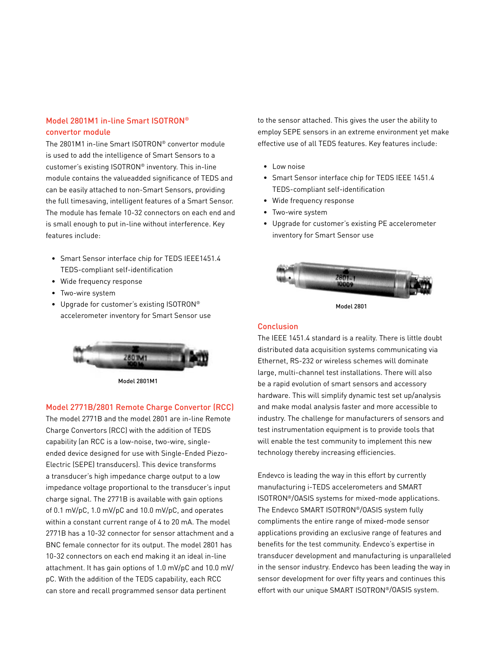## Model 2801M1 in-line Smart ISOTRON® convertor module

The 2801M1 in-line Smart ISOTRON® convertor module is used to add the intelligence of Smart Sensors to a customer's existing ISOTRON® inventory. This in-line module contains the valueadded significance of TEDS and can be easily attached to non-Smart Sensors, providing the full timesaving, intelligent features of a Smart Sensor. The module has female 10-32 connectors on each end and is small enough to put in-line without interference. Key features include:

- Smart Sensor interface chip for TEDS IEEE1451.4 TEDS-compliant self-identification
- Wide frequency response
- Two-wire system
- Upgrade for customer's existing ISOTRON® accelerometer inventory for Smart Sensor use



Model 2801M1

## Model 2771B/2801 Remote Charge Convertor (RCC)

The model 2771B and the model 2801 are in-line Remote Charge Convertors (RCC) with the addition of TEDS capability (an RCC is a low-noise, two-wire, singleended device designed for use with Single-Ended Piezo-Electric (SEPE) transducers). This device transforms a transducer's high impedance charge output to a low impedance voltage proportional to the transducer's input charge signal. The 2771B is available with gain options of 0.1 mV/pC, 1.0 mV/pC and 10.0 mV/pC, and operates within a constant current range of 4 to 20 mA. The model 2771B has a 10-32 connector for sensor attachment and a BNC female connector for its output. The model 2801 has 10-32 connectors on each end making it an ideal in-line attachment. It has gain options of 1.0 mV/pC and 10.0 mV/ pC. With the addition of the TEDS capability, each RCC can store and recall programmed sensor data pertinent

to the sensor attached. This gives the user the ability to employ SEPE sensors in an extreme environment yet make effective use of all TEDS features. Key features include:

- Low noise
- Smart Sensor interface chip for TEDS IEEE 1451.4 TEDS-compliant self-identification
- Wide frequency response
- Two-wire system
- Upgrade for customer's existing PE accelerometer inventory for Smart Sensor use



Model 2801

#### **Conclusion**

The IEEE 1451.4 standard is a reality. There is little doubt distributed data acquisition systems communicating via Ethernet, RS-232 or wireless schemes will dominate large, multi-channel test installations. There will also be a rapid evolution of smart sensors and accessory hardware. This will simplify dynamic test set up/analysis and make modal analysis faster and more accessible to industry. The challenge for manufacturers of sensors and test instrumentation equipment is to provide tools that will enable the test community to implement this new technology thereby increasing efficiencies.

Endevco is leading the way in this effort by currently manufacturing i-TEDS accelerometers and SMART ISOTRON®/OASIS systems for mixed-mode applications. The Endevco SMART ISOTRON®/OASIS system fully compliments the entire range of mixed-mode sensor applications providing an exclusive range of features and benefits for the test community. Endevco's expertise in transducer development and manufacturing is unparalleled in the sensor industry. Endevco has been leading the way in sensor development for over fifty years and continues this effort with our unique SMART ISOTRON®/OASIS system.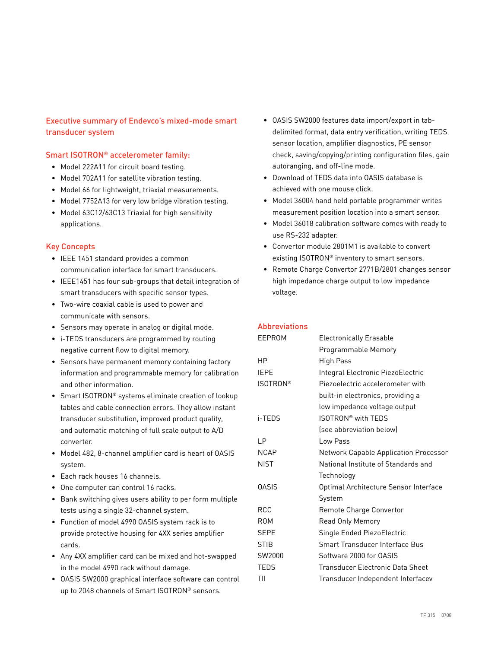## Executive summary of Endevco's mixed-mode smart transducer system

## Smart ISOTRON® accelerometer family:

- Model 222A11 for circuit board testing.
- Model 702A11 for satellite vibration testing.
- Model 66 for lightweight, triaxial measurements.
- Model 7752A13 for very low bridge vibration testing.
- Model 63C12/63C13 Triaxial for high sensitivity applications.

## Key Concepts

- IEEE 1451 standard provides a common communication interface for smart transducers.
- IEEE1451 has four sub-groups that detail integration of smart transducers with specific sensor types.
- Two-wire coaxial cable is used to power and communicate with sensors.
- Sensors may operate in analog or digital mode.
- i-TEDS transducers are programmed by routing negative current flow to digital memory.
- Sensors have permanent memory containing factory information and programmable memory for calibration and other information.
- Smart ISOTRON® systems eliminate creation of lookup tables and cable connection errors. They allow instant transducer substitution, improved product quality, and automatic matching of full scale output to A/D converter.
- Model 482, 8-channel amplifier card is heart of OASIS system.
- Each rack houses 16 channels.
- One computer can control 16 racks.
- Bank switching gives users ability to per form multiple tests using a single 32-channel system.
- Function of model 4990 OASIS system rack is to provide protective housing for 4XX series amplifier cards.
- Any 4XX amplifier card can be mixed and hot-swapped in the model 4990 rack without damage.
- OASIS SW2000 graphical interface software can control up to 2048 channels of Smart ISOTRON® sensors.
- OASIS SW2000 features data import/export in tabdelimited format, data entry verification, writing TEDS sensor location, amplifier diagnostics, PE sensor check, saving/copying/printing configuration files, gain autoranging, and off-line mode.
- Download of TEDS data into OASIS database is achieved with one mouse click.
- Model 36004 hand held portable programmer writes measurement position location into a smart sensor.
- Model 36018 calibration software comes with ready to use RS-232 adapter.
- Convertor module 2801M1 is available to convert existing ISOTRON® inventory to smart sensors.
- Remote Charge Convertor 2771B/2801 changes sensor high impedance charge output to low impedance voltage.

## Abbreviations

| EEPROM          | <b>Electronically Erasable</b>        |  |
|-----------------|---------------------------------------|--|
|                 | Programmable Memory                   |  |
| НP              | <b>High Pass</b>                      |  |
| IEPE            | Integral Electronic PiezoElectric     |  |
| <b>ISOTRON®</b> | Piezoelectric accelerometer with      |  |
|                 | built-in electronics, providing a     |  |
|                 | low impedance voltage output          |  |
| i-TEDS          | ISOTRON <sup>®</sup> with TFDS        |  |
|                 | (see abbreviation below)              |  |
| LР              | Low Pass                              |  |
| <b>NCAP</b>     | Network Capable Application Processor |  |
| NIST            | National Institute of Standards and   |  |
|                 | Technology                            |  |
| <b>OASIS</b>    | Optimal Architecture Sensor Interface |  |
|                 | System                                |  |
| RCC             | Remote Charge Convertor               |  |
| ROM             | <b>Read Only Memory</b>               |  |
| SEPE            | Single Ended PiezoElectric            |  |
| <b>STIB</b>     | Smart Transducer Interface Bus        |  |
| SW2000          | Software 2000 for OASIS               |  |
| TEDS            | Transducer Electronic Data Sheet      |  |
| ΤIΙ             | Transducer Independent Interfacev     |  |
|                 |                                       |  |